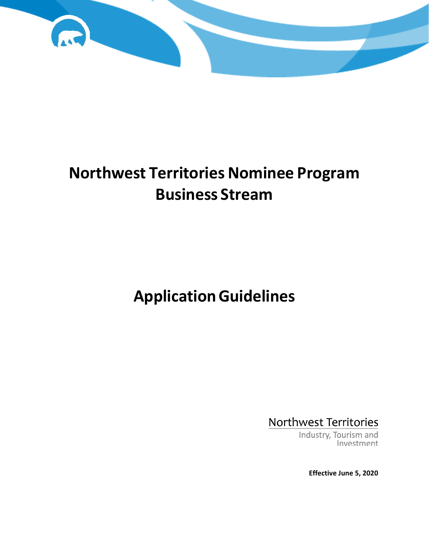

# **Northwest Territories Nominee Program Business Stream**

# **ApplicationGuidelines**

Northwest Territories

Industry, Tourism and Investment

**Effective June 5, 2020**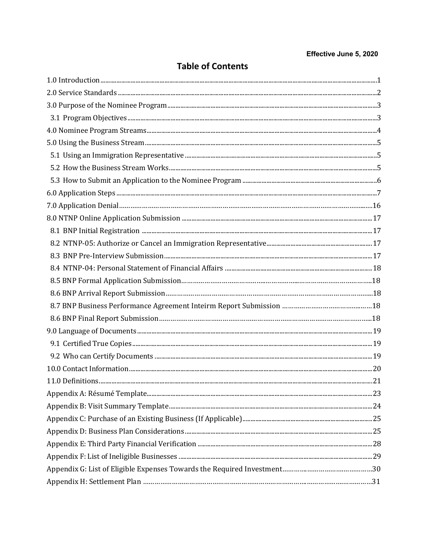## Effective June 5, 2020

| <b>Table of Contents</b> |  |
|--------------------------|--|
|--------------------------|--|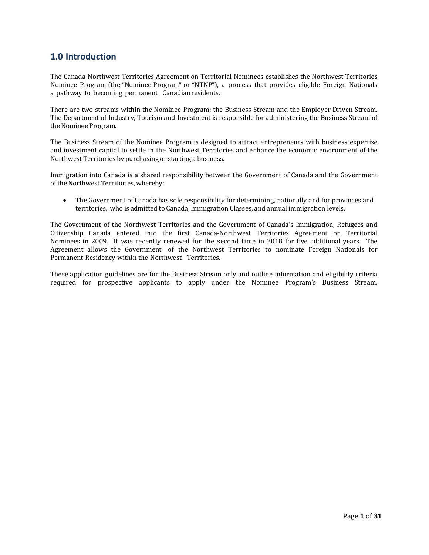# <span id="page-2-0"></span>**1.0 Introduction**

The Canada-Northwest Territories Agreement on Territorial Nominees establishes the Northwest Territories Nominee Program (the "Nominee Program" or "NTNP"), a process that provides eligible Foreign Nationals a pathway to becoming permanent Canadianresidents.

There are two streams within the Nominee Program; the Business Stream and the Employer Driven Stream. The Department of Industry, Tourism and Investment is responsible for administering the Business Stream of the Nominee Program.

The Business Stream of the Nominee Program is designed to attract entrepreneurs with business expertise and investment capital to settle in the Northwest Territories and enhance the economic environment of the Northwest Territories by purchasing or starting a business.

Immigration into Canada is a shared responsibility between the Government of Canada and the Government of the Northwest Territories, whereby:

• The Government of Canada has sole responsibility for determining, nationally and for provinces and territories, who is admitted to Canada, Immigration Classes, and annual immigration levels.

The Government of the Northwest Territories and the Government of Canada's Immigration, Refugees and Citizenship Canada entered into the first Canada-Northwest Territories Agreement on Territorial Nominees in 2009. It was recently renewed for the second time in 2018 for five additional years. The Agreement allows the Government of the Northwest Territories to nominate Foreign Nationals for Permanent Residency within the Northwest Territories.

These application guidelines are for the Business Stream only and outline information and eligibility criteria required for prospective applicants to apply under the Nominee Program's Business Stream.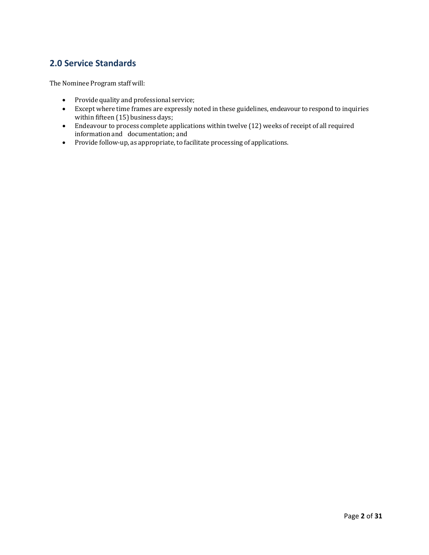# <span id="page-3-0"></span>**2.0 Service Standards**

The Nominee Program staff will:

- Provide quality and professional service;
- Except where time frames are expressly noted in these guidelines, endeavour to respond to inquiries within fifteen (15) business days;
- Endeavour to process complete applications within twelve (12) weeks of receipt of all required information and documentation; and
- Provide follow-up, as appropriate, to facilitate processing of applications.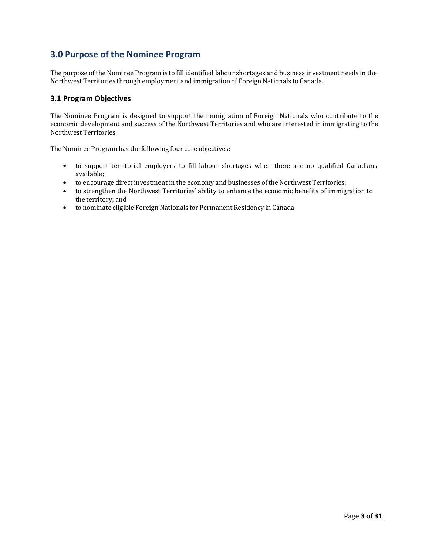# <span id="page-4-0"></span>**3.0 Purpose of the Nominee Program**

The purpose of the Nominee Program is to fill identified labour shortages and business investment needs in the Northwest Territories through employment and immigration of Foreign Nationals to Canada.

# <span id="page-4-1"></span>**3.1 Program Objectives**

The Nominee Program is designed to support the immigration of Foreign Nationals who contribute to the economic development and success of the Northwest Territories and who are interested in immigrating to the Northwest Territories.

The Nominee Program has the following four core objectives:

- to support territorial employers to fill labour shortages when there are no qualified Canadians available;
- to encourage direct investment in the economy and businesses of the Northwest Territories;
- to strengthen the Northwest Territories' ability to enhance the economic benefits of immigration to the territory; and
- to nominate eligible Foreign Nationals for Permanent Residency in Canada.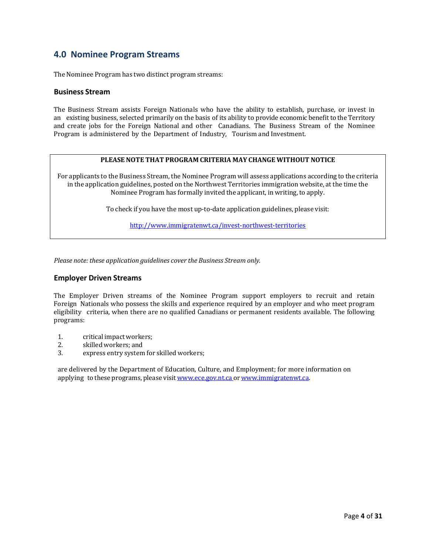# <span id="page-5-0"></span>**4.0 Nominee Program Streams**

The Nominee Program has two distinct program streams:

#### **Business Stream**

The Business Stream assists Foreign Nationals who have the ability to establish, purchase, or invest in an existing business, selected primarily on the basis of its ability to provide economic benefit to the Territory and create jobs for the Foreign National and other Canadians. The Business Stream of the Nominee Program is administered by the Department of Industry, Tourism and Investment.

#### **PLEASENOTE THAT PROGRAM CRITERIA MAY CHANGE WITHOUT NOTICE**

For applicants to the Business Stream, the Nominee Program will assess applications according to the criteria in the application guidelines, posted on the Northwest Territories immigration website, at the time the Nominee Program has formally invited the applicant, in writing, to apply.

To check if you have the most up-to-date application guidelines, please visit:

<http://www.immigratenwt.ca/invest-northwest-territories>

*Please note: these application guidelines cover the Business Stream only.*

#### **Employer Driven Streams**

The Employer Driven streams of the Nominee Program support employers to recruit and retain Foreign Nationals who possess the skills and experience required by an employer and who meet program eligibility criteria, when there are no qualified Canadians or permanent residents available. The following programs:

- 1. critical impact workers;<br>2. skilled workers: and
- 2. skilled workers; and<br>3. express entry system
- express entry system for skilled workers;

are delivered by the Department of Education, Culture, and Employment; for more information on applying to these programs, please visit [www.ece.gov.nt.ca](http://www.ece.gov.nt.ca/) or [www.immigratenwt.ca.](http://www.immigratenwt.ca/)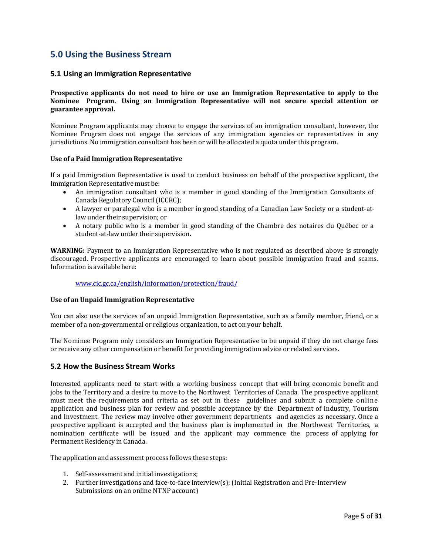# <span id="page-6-1"></span><span id="page-6-0"></span>**5.0 Using the Business Stream**

### **5.1 Using an Immigration Representative**

**Prospective applicants do not need to hire or use an Immigration Representative to apply to the Nominee Program. Using an Immigration Representative will not secure special attention or guarantee approval.**

Nominee Program applicants may choose to engage the services of an immigration consultant, however, the Nominee Program does not engage the services of any immigration agencies or representatives in any jurisdictions. No immigration consultant has been or will be allocated a quota under this program.

#### **Use of a Paid Immigration Representative**

If a paid Immigration Representative is used to conduct business on behalf of the prospective applicant, the Immigration Representative must be:

- An immigration consultant who is a member in good standing of the Immigration Consultants of Canada Regulatory Council(ICCRC);
- A lawyer or paralegal who is a member in good standing of a Canadian Law Society or a student-atlaw under their supervision; or
- A notary public who is a member in good standing of the Chambre des notaires du Québec or a student-at-lawunder their supervision.

**WARNING:** Payment to an Immigration Representative who is not regulated as described above is strongly discouraged. Prospective applicants are encouraged to learn about possible immigration fraud and scams. Information is available here:

#### [www.cic.gc.ca/english/information/protection/fraud/](http://www.cic.gc.ca/english/information/protection/fraud/)

#### **Use of an Unpaid Immigration Representative**

You can also use the services of an unpaid Immigration Representative, such as a family member, friend, or a member of a non-governmental or religious organization, to act on your behalf.

The Nominee Program only considers an Immigration Representative to be unpaid if they do not charge fees or receive any other compensation or benefit for providing immigration advice or related services.

#### <span id="page-6-2"></span>**5.2 How the Business Stream Works**

Interested applicants need to start with a working business concept that will bring economic benefit and jobs to the Territory and a desire to move to the Northwest Territories of Canada. The prospective applicant must meet the requirements and criteria as set out in these guidelines and submit a complete online application and business plan for review and possible acceptance by the Department of Industry, Tourism and Investment. The review may involve other government departments and agencies as necessary. Once a prospective applicant is accepted and the business plan is implemented in the Northwest Territories, a nomination certificate will be issued and the applicant may commence the process of applying for Permanent Residency in Canada.

The application and assessment process follows these steps:

- 1. Self-assessment and initial investigations;
- 2. Further investigations and face-to-face interview(s); (Initial Registration and Pre-Interview Submissions on an online NTNP account)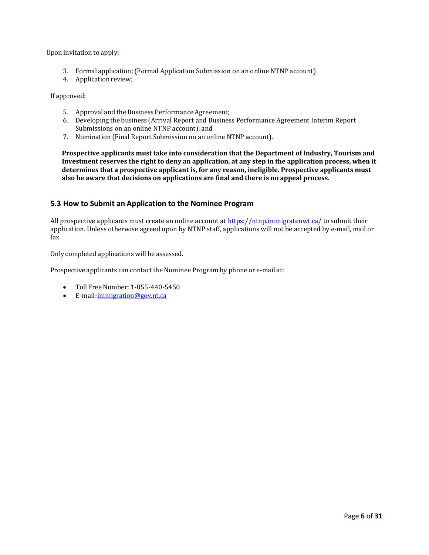Upon invitation to apply:

- 3. Formal application;(Formal Application Submission on an online NTNP account)
- 4. Application review;

If approved:

- 5. Approval and the Business Performance Agreement;
- 6. Developing the business (Arrival Report and Business Performance Agreement Interim Report Submissions on an online NTNP account); and
- 7. Nomination (Final Report Submission on an online NTNP account).

**Prospective applicants must take into consideration that the Department of Industry, Tourism and Investment reserves the right to deny an application, at any step in the application process, when it determines that a prospective applicant is, for any reason, ineligible. Prospective applicants must also be aware that decisions on applications are final and there is no appeal process.** 

#### <span id="page-7-0"></span>**5.3 How to Submit an Application to the Nominee Program**

All prospective applicants must create an online account at <https://ntnp.immigratenwt.ca/> to submit their application. Unless otherwise agreed upon by NTNP staff, applications will not be accepted by e-mail, mail or fax.

Only completed applications will be assessed.

Prospective applicants can contact the Nominee Program by phone or e-mail at:

- Toll Free Number: 1-855-440-5450
- E-mail: immigration@gov.nt.ca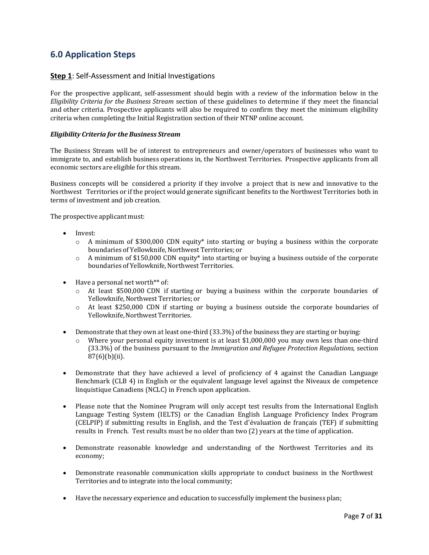# <span id="page-8-0"></span>**6.0 Application Steps**

### **Step 1**: Self-Assessment and Initial Investigations

For the prospective applicant, self-assessment should begin with a review of the information below in the *Eligibility Criteria for the Business Stream* section of these guidelines to determine if they meet the financial and other criteria. Prospective applicants will also be required to confirm they meet the minimum eligibility criteria when completing the Initial Registration section of their NTNP online account.

#### *Eligibility Criteria for the Business Stream*

The Business Stream will be of interest to entrepreneurs and owner/operators of businesses who want to immigrate to, and establish business operations in, the Northwest Territories. Prospective applicants from all economic sectors are eligible for this stream.

Business concepts will be considered a priority if they involve a project that is new and innovative to the Northwest Territories or if the project would generate significant benefits to the Northwest Territories both in terms of investment and job creation.

The prospective applicant must:

- Invest:
	- $\circ$  A minimum of \$300,000 CDN equity\* into starting or buying a business within the corporate boundaries of Yellowknife, Northwest Territories; or
	- $\circ$  A minimum of \$150,000 CDN equity\* into starting or buying a business outside of the corporate boundaries of Yellowknife,Northwest Territories.
- Have a personal net worth\*\* of:
	- o At least \$500,000 CDN if starting or buying a business within the corporate boundaries of Yellowknife, Northwest Territories; or
	- o At least \$250,000 CDN if starting or buying a business outside the corporate boundaries of Yellowknife,NorthwestTerritories.
- Demonstrate that they own at least one-third (33.3%) of the business they are starting or buying:
	- Where your personal equity investment is at least  $$1,000,000$  you may own less than one-third (33.3%) of the business pursuant to the *Immigration and Refugee Protection Regulations,* section 87(6)(b)(ii).
- Demonstrate that they have achieved a level of proficiency of 4 against the Canadian Language Benchmark (CLB 4) in English or the equivalent language level against the Niveaux de competence linquistique Canadiens (NCLC) in French upon application.
- Please note that the Nominee Program will only accept test results from the International English Language Testing System (IELTS) or the Canadian English Language Proficiency Index Program (CELPIP) if submitting results in English, and the Test d'évaluation de français (TEF) if submitting results in French. Test results must be no older than two (2) years at the time of application.
- Demonstrate reasonable knowledge and understanding of the Northwest Territories and its economy;
- Demonstrate reasonable communication skills appropriate to conduct business in the Northwest Territories and to integrate into the local community;
- Have the necessary experience and education to successfully implement the business plan;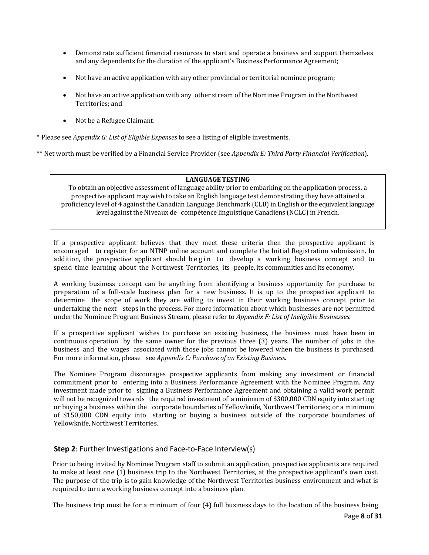- Demonstrate sufficient financial resources to start and operate a business and support themselves and any dependents for the duration of the applicant's Business Performance Agreement;
- Not have an active application with any other provincial or territorial nominee program;
- Not have an active application with any other stream of the Nominee Program in the Northwest Territories; and
- Not be a Refugee Claimant.

\* Please see *Appendix G: List of Eligible Expenses* to see a listing of eligible investments.

\*\* Net worth must be verified by a Financial Service Provider (see *Appendix E: Third Party Financial Verification*).

#### **LANGUAGETESTING**

To obtain an objective assessment of language ability prior to embarking on the application process, a prospective applicant may wish to take an English language test demonstrating they have attained a proficiency level of 4 against the Canadian Language Benchmark (CLB) in English or the equivalent language level against the Niveaux de compétence linguistique Canadiens (NCLC) in French.

If a prospective applicant believes that they meet these criteria then the prospective applicant is encouraged to register for an NTNP online account and complete the Initial Registration submission. In addition, the prospective applicant should begin to develop a working business concept and to spend time learning about the Northwest Territories, its people, its communities and its economy.

A working business concept can be anything from identifying a business opportunity for purchase to preparation of a full-scale business plan for a new business. It is up to the prospective applicant to determine the scope of work they are willing to invest in their working business concept prior to undertaking the next steps in the process. For more information about which businesses are not permitted under the Nominee Program Business Stream, please refer to *Appendix F: List of Ineligible Businesses*.

If a prospective applicant wishes to purchase an existing business, the business must have been in continuous operation by the same owner for the previous three (3) years. The number of jobs in the business and the wages associated with those jobs cannot be lowered when the business is purchased. For more information, please see *Appendix C: Purchase of an Existing Business.*

The Nominee Program discourages prospective applicants from making any investment or financial commitment prior to entering into a Business Performance Agreement with the Nominee Program. Any investment made prior to signing a Business Performance Agreement and obtaining a valid work permit will not be recognized towards the required investment of a minimum of \$300,000 CDN equity into starting or buying a business within the corporate boundaries of Yellowknife, Northwest Territories; or a minimum of \$150,000 CDN equity into starting or buying a business outside of the corporate boundaries of Yellowknife, Northwest Territories.

## **Step 2**: Further Investigations and Face-to-Face Interview(s)

Prior to being invited by Nominee Program staff to submit an application, prospective applicants are required to make at least one (1) business trip to the Northwest Territories, at the prospective applicant's own cost. The purpose of the trip is to gain knowledge of the Northwest Territories business environment and what is required to turn a working business concept into a business plan.

The business trip must be for a minimum of four (4) full business days to the location of the business being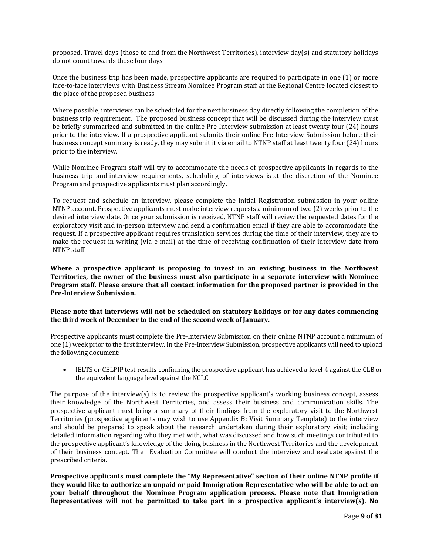proposed. Travel days (those to and from the Northwest Territories), interview day(s) and statutory holidays do not count towards those four days.

Once the business trip has been made, prospective applicants are required to participate in one (1) or more face-to-face interviews with Business Stream Nominee Program staff at the Regional Centre located closest to the place of the proposed business.

Where possible, interviews can be scheduled for the next business day directly following the completion of the business trip requirement. The proposed business concept that will be discussed during the interview must be briefly summarized and submitted in the online Pre-Interview submission at least twenty four (24) hours prior to the interview. If a prospective applicant submits their online Pre-Interview Submission before their business concept summary is ready, they may submit it via email to NTNP staff at least twenty four (24) hours prior to the interview.

While Nominee Program staff will try to accommodate the needs of prospective applicants in regards to the business trip and interview requirements, scheduling of interviews is at the discretion of the Nominee Program and prospective applicants must plan accordingly.

To request and schedule an interview, please complete the Initial Registration submission in your online NTNP account. Prospective applicants must make interview requests a minimum of two (2) weeks prior to the desired interview date. Once your submission is received, NTNP staff will review the requested dates for the exploratory visit and in-person interview and send a confirmation email if they are able to accommodate the request. If a prospective applicant requires translation services during the time of their interview, they are to make the request in writing (via e-mail) at the time of receiving confirmation of their interview date from NTNP staff.

**Where a prospective applicant is proposing to invest in an existing business in the Northwest Territories, the owner of the business must also participate in a separate interview with Nominee Program staff. Please ensure that all contact information for the proposed partner is provided in the Pre-Interview Submission.** 

#### **Please note that interviews will not be scheduled on statutory holidays or for any dates commencing the third week of December to the end of the second week of January.**

Prospective applicants must complete the Pre-Interview Submission on their online NTNP account a minimum of one (1) week prior to the first interview. In the Pre-Interview Submission, prospective applicants will need to upload the following document:

• IELTS or CELPIP test results confirming the prospective applicant has achieved a level 4 against the CLB or the equivalent language level against the NCLC.

The purpose of the interview(s) is to review the prospective applicant's working business concept, assess their knowledge of the Northwest Territories, and assess their business and communication skills. The prospective applicant must bring a summary of their findings from the exploratory visit to the Northwest Territories (prospective applicants may wish to use Appendix B: Visit Summary Template) to the interview and should be prepared to speak about the research undertaken during their exploratory visit; including detailed information regarding who they met with, what was discussed and how such meetings contributed to the prospective applicant's knowledge of the doing business in the Northwest Territories and the development of their business concept. The Evaluation Committee will conduct the interview and evaluate against the prescribed criteria.

**Prospective applicants must complete the "My Representative" section of their online NTNP profile if they would like to authorize an unpaid or paid Immigration Representative who will be able to act on your behalf throughout the Nominee Program application process. Please note that Immigration Representatives will not be permitted to take part in a prospective applicant's interview(s). No**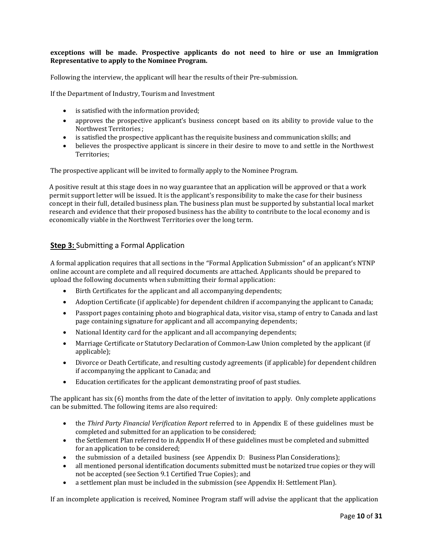#### **exceptions will be made. Prospective applicants do not need to hire or use an Immigration Representative to apply to the Nominee Program.**

Following the interview, the applicant will hear the results of their Pre-submission.

If the Department of Industry, Tourism and Investment

- is satisfied with the information provided;
- approves the prospective applicant's business concept based on its ability to provide value to the Northwest Territories ;
- is satisfied the prospective applicant has the requisite business and communication skills; and
- believes the prospective applicant is sincere in their desire to move to and settle in the Northwest Territories;

The prospective applicant will be invited to formally apply to the Nominee Program.

A positive result at this stage does in no way guarantee that an application will be approved or that a work permit support letter will be issued. It is the applicant's responsibility to make the case for their business concept in their full, detailed business plan. The business plan must be supported by substantial local market research and evidence that their proposed business has the ability to contribute to the local economy and is economically viable in the Northwest Territories over the long term.

# **Step 3:** Submitting a Formal Application

A formal application requires that all sections in the "Formal Application Submission" of an applicant's NTNP online account are complete and all required documents are attached. Applicants should be prepared to upload the following documents when submitting their formal application:

- Birth Certificates for the applicant and all accompanying dependents;
- Adoption Certificate (if applicable) for dependent children if accompanying the applicant to Canada;
- Passport pages containing photo and biographical data, visitor visa, stamp of entry to Canada and last page containing signature for applicant and all accompanying dependents;
- National Identity card for the applicant and all accompanying dependents;
- Marriage Certificate or Statutory Declaration of Common-Law Union completed by the applicant (if applicable);
- Divorce or Death Certificate, and resulting custody agreements (if applicable) for dependent children if accompanying the applicant to Canada; and
- Education certificates for the applicant demonstrating proof of past studies.

The applicant has six (6) months from the date of the letter of invitation to apply. Only complete applications can be submitted. The following items are also required:

- the *Third Party Financial Verification Report* referred to in Appendix E of these guidelines must be completed and submitted for an application to be considered;
- the Settlement Plan referred to in Appendix H of these guidelines must be completed and submitted for an application to be considered;
- the submission of a detailed business (see Appendix D: Business Plan Considerations);
- all mentioned personal identification documents submitted must be notarized true copies or they will not be accepted (see Section 9.1 Certified True Copies); and
- a settlement plan must be included in the submission (see Appendix H: Settlement Plan).

If an incomplete application is received, Nominee Program staff will advise the applicant that the application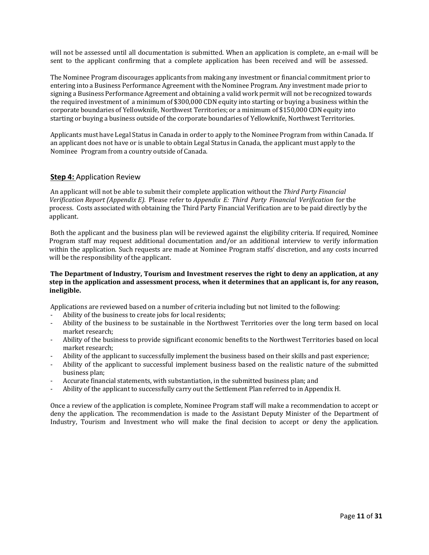will not be assessed until all documentation is submitted. When an application is complete, an e-mail will be sent to the applicant confirming that a complete application has been received and will be assessed.

The Nominee Program discourages applicants from making any investment or financial commitment prior to entering into a Business Performance Agreement with the Nominee Program. Any investment made prior to signing a Business Performance Agreement and obtaining a valid work permit will not be recognized towards the required investment of a minimum of \$300,000 CDN equity into starting or buying a business within the corporate boundaries of Yellowknife, Northwest Territories; or a minimum of \$150,000 CDN equity into starting or buying a business outside of the corporate boundaries of Yellowknife, Northwest Territories.

Applicants must have Legal Status in Canada in order to apply to the Nominee Program from within Canada. If an applicant does not have or is unable to obtain Legal Status in Canada, the applicant must apply to the Nominee Program from a country outside of Canada.

### **Step 4:** Application Review

An applicant will not be able to submit their complete application without the *Third Party Financial Verification Report (Appendix E).* Please refer to *Appendix E: Third Party Financial Verification* for the process. Costs associated with obtaining the Third Party Financial Verification are to be paid directly by the applicant.

Both the applicant and the business plan will be reviewed against the eligibility criteria. If required, Nominee Program staff may request additional documentation and/or an additional interview to verify information within the application. Such requests are made at Nominee Program staffs' discretion, and any costs incurred will be the responsibility of the applicant.

#### **The Department of Industry, Tourism and Investment reserves the right to deny an application, at any step in the application and assessment process, when it determines that an applicant is, for any reason, ineligible.**

Applications are reviewed based on a number of criteria including but not limited to the following:

- Ability of the business to create jobs for local residents;
- Ability of the business to be sustainable in the Northwest Territories over the long term based on local market research;
- Ability of the business to provide significant economic benefits to the Northwest Territories based on local market research;
- Ability of the applicant to successfully implement the business based on their skills and past experience;
- Ability of the applicant to successful implement business based on the realistic nature of the submitted business plan;
- Accurate financial statements, with substantiation, in the submitted business plan; and
- Ability of the applicant to successfully carry out the Settlement Plan referred to in Appendix H.

Once a review of the application is complete, Nominee Program staff will make a recommendation to accept or deny the application. The recommendation is made to the Assistant Deputy Minister of the Department of Industry, Tourism and Investment who will make the final decision to accept or deny the application.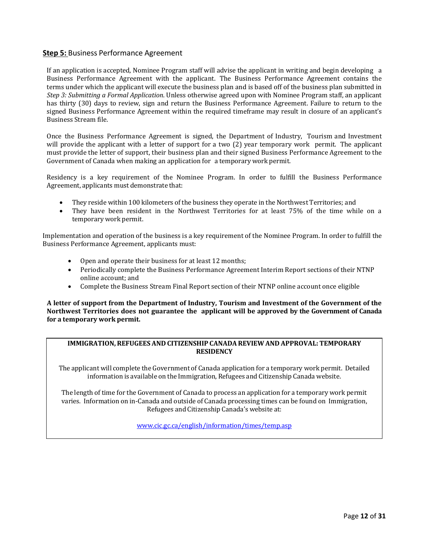### **Step 5:** Business Performance Agreement

If an application is accepted, Nominee Program staff will advise the applicant in writing and begin developing a Business Performance Agreement with the applicant. The Business Performance Agreement contains the terms under which the applicant will execute the business plan and is based off of the business plan submitted in *Step 3: Submitting a Formal Application*. Unless otherwise agreed upon with Nominee Program staff, an applicant has thirty (30) days to review, sign and return the Business Performance Agreement. Failure to return to the signed Business Performance Agreement within the required timeframe may result in closure of an applicant's Business Stream file.

Once the Business Performance Agreement is signed, the Department of Industry, Tourism and Investment will provide the applicant with a letter of support for a two (2) year temporary work permit. The applicant must provide the letter of support, their business plan and their signed Business Performance Agreement to the Government of Canada when making an application for a temporary work permit.

Residency is a key requirement of the Nominee Program. In order to fulfill the Business Performance Agreement, applicants must demonstrate that:

- They reside within 100 kilometers of the business they operate in the Northwest Territories; and
- They have been resident in the Northwest Territories for at least 75% of the time while on a temporary work permit.

Implementation and operation of the business is a key requirement of the Nominee Program. In order to fulfill the Business Performance Agreement, applicants must:

- Open and operate their business for at least 12 months;
- Periodically complete the Business Performance Agreement Interim Report sections of their NTNP online account; and
- Complete the Business Stream Final Report section of their NTNP online account once eligible

**A letter of support from the Department of Industry, Tourism and Investment of the Government of the Northwest Territories does not guarantee the applicant will be approved by the Government of Canada for a temporary work permit.**

### **IMMIGRATION,REFUGEES AND CITIZENSHIP CANADAREVIEW AND APPROVAL: TEMPORARY RESIDENCY**

The applicant will complete the Government of Canada application for a temporary work permit. Detailed information is available on the Immigration, Refugees and Citizenship Canada website.

The length of time for the Government of Canada to process an application for a temporary work permit varies. Information on in-Canada and outside of Canada processing times can be found on Immigration, Refugees and Citizenship Canada's website at:

[www.cic.gc.ca/english/information/times/temp.asp](http://www.cic.gc.ca/english/information/times/temp.asp)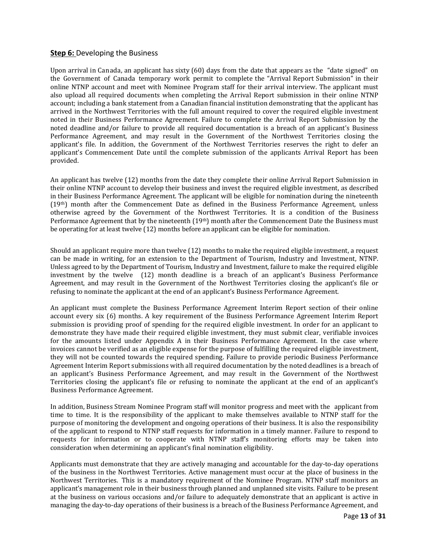### **Step 6:** Developing the Business

Upon arrival in Canada, an applicant has sixty (60) days from the date that appears as the "date signed" on the Government of Canada temporary work permit to complete the "Arrival Report Submission" in their online NTNP account and meet with Nominee Program staff for their arrival interview. The applicant must also upload all required documents when completing the Arrival Report submission in their online NTNP account; including a bank statement from a Canadian financial institution demonstrating that the applicant has arrived in the Northwest Territories with the full amount required to cover the required eligible investment noted in their Business Performance Agreement*.* Failure to complete the Arrival Report Submission by the noted deadline and/or failure to provide all required documentation is a breach of an applicant's Business Performance Agreement, and may result in the Government of the Northwest Territories closing the applicant's file. In addition, the Government of the Northwest Territories reserves the right to defer an applicant's Commencement Date until the complete submission of the applicants Arrival Report has been provided.

An applicant has twelve (12) months from the date they complete their online Arrival Report Submission in their online NTNP account to develop their business and invest the required eligible investment, as described in their Business Performance Agreement. The applicant will be eligible for nomination during the nineteenth (19th) month after the Commencement Date as defined in the Business Performance Agreement, unless otherwise agreed by the Government of the Northwest Territories. It is a condition of the Business Performance Agreement that by the nineteenth (19<sup>th</sup>) month after the Commencement Date the Business must be operating for at least twelve (12) months before an applicant can be eligible for nomination.

Should an applicant require more than twelve (12) months to make the required eligible investment, a request can be made in writing, for an extension to the Department of Tourism, Industry and Investment, NTNP. Unless agreed to by the Department of Tourism, Industry and Investment, failure to make the required eligible investment by the twelve (12) month deadline is a breach of an applicant's Business Performance Agreement, and may result in the Government of the Northwest Territories closing the applicant's file or refusing to nominate the applicant at the end of an applicant's Business Performance Agreement.

An applicant must complete the Business Performance Agreement Interim Report section of their online account every six (6) months. A key requirement of the Business Performance Agreement Interim Report submission is providing proof of spending for the required eligible investment. In order for an applicant to demonstrate they have made their required eligible investment, they must submit clear, verifiable invoices for the amounts listed under Appendix A in their Business Performance Agreement. In the case where invoices cannot be verified as an eligible expense for the purpose of fulfilling the required eligible investment, they will not be counted towards the required spending. Failure to provide periodic Business Performance Agreement Interim Report submissions with all required documentation by the noted deadlines is a breach of an applicant's Business Performance Agreement, and may result in the Government of the Northwest Territories closing the applicant's file or refusing to nominate the applicant at the end of an applicant's Business Performance Agreement.

In addition, Business Stream Nominee Program staff will monitor progress and meet with the applicant from time to time. It is the responsibility of the applicant to make themselves available to NTNP staff for the purpose of monitoring the development and ongoing operations of their business. It is also the responsibility of the applicant to respond to NTNP staff requests for information in a timely manner. Failure to respond to requests for information or to cooperate with NTNP staff's monitoring efforts may be taken into consideration when determining an applicant's final nomination eligibility.

Applicants must demonstrate that they are actively managing and accountable for the day-to-day operations of the business in the Northwest Territories. Active management must occur at the place of business in the Northwest Territories. This is a mandatory requirement of the Nominee Program. NTNP staff monitors an applicant's management role in their business through planned and unplanned site visits. Failure to be present at the business on various occasions and/or failure to adequately demonstrate that an applicant is active in managing the day-to-day operations of their business is a breach of the Business Performance Agreement, and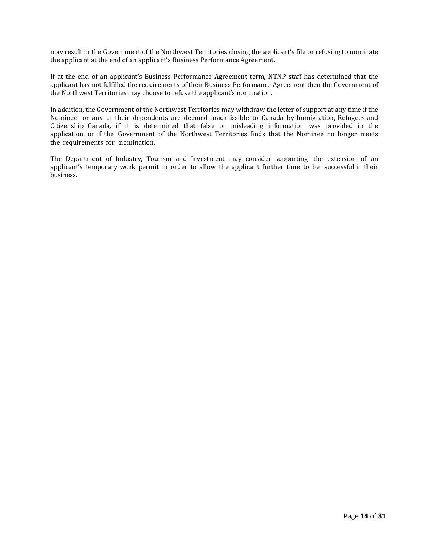may result in the Government of the Northwest Territories closing the applicant's file or refusing to nominate the applicant at the end of an applicant's Business Performance Agreement.

If at the end of an applicant's Business Performance Agreement term, NTNP staff has determined that the applicant has not fulfilled the requirements of their Business Performance Agreement then the Government of the Northwest Territories may choose to refuse the applicant's nomination.

In addition, the Government of the Northwest Territories may withdraw the letter of support at any time if the Nominee or any of their dependents are deemed inadmissible to Canada by Immigration, Refugees and Citizenship Canada, if it is determined that false or misleading information was provided in the application, or if the Government of the Northwest Territories finds that the Nominee no longer meets the requirements for nomination.

The Department of Industry, Tourism and Investment may consider supporting the extension of an applicant's temporary work permit in order to allow the applicant further time to be successful in their business.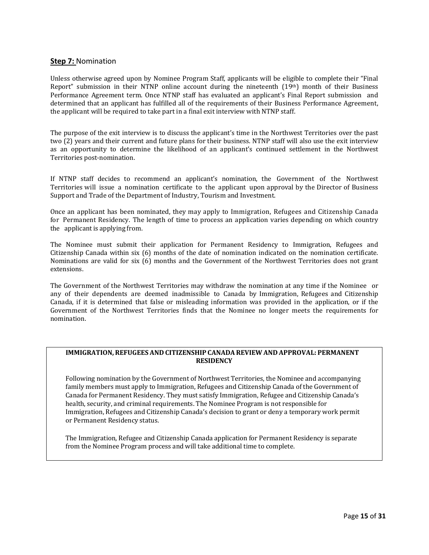### **Step 7:** Nomination

Unless otherwise agreed upon by Nominee Program Staff, applicants will be eligible to complete their "Final Report" submission in their NTNP online account during the nineteenth (19th) month of their Business Performance Agreement term. Once NTNP staff has evaluated an applicant's Final Report submission and determined that an applicant has fulfilled all of the requirements of their Business Performance Agreement, the applicant will be required to take part in a final exit interview with NTNP staff.

The purpose of the exit interview is to discuss the applicant's time in the Northwest Territories over the past two (2) years and their current and future plans for their business. NTNP staff will also use the exit interview as an opportunity to determine the likelihood of an applicant's continued settlement in the Northwest Territories post-nomination.

If NTNP staff decides to recommend an applicant's nomination, the Government of the Northwest Territories will issue a nomination certificate to the applicant upon approval by the Director of Business Support and Trade of the Department of Industry, Tourism and Investment.

Once an applicant has been nominated, they may apply to Immigration, Refugees and Citizenship Canada for Permanent Residency. The length of time to process an application varies depending on which country the applicantis applying from.

The Nominee must submit their application for Permanent Residency to Immigration, Refugees and Citizenship Canada within six (6) months of the date of nomination indicated on the nomination certificate. Nominations are valid for six (6) months and the Government of the Northwest Territories does not grant extensions.

The Government of the Northwest Territories may withdraw the nomination at any time if the Nominee or any of their dependents are deemed inadmissible to Canada by Immigration, Refugees and Citizenship Canada, if it is determined that false or misleading information was provided in the application, or if the Government of the Northwest Territories finds that the Nominee no longer meets the requirements for nomination.

#### **IMMIGRATION,REFUGEES AND CITIZENSHIP CANADAREVIEW AND APPROVAL: PERMANENT RESIDENCY**

Following nomination by the Government of Northwest Territories, the Nominee and accompanying family members must apply to Immigration, Refugees and Citizenship Canada of the Government of Canada for Permanent Residency. They must satisfy Immigration, Refugee and Citizenship Canada's health, security, and criminal requirements. The Nominee Program is not responsible for Immigration, Refugees and Citizenship Canada's decision to grant or deny a temporary work permit or Permanent Residency status.

The Immigration, Refugee and Citizenship Canada application for Permanent Residency is separate from the Nominee Program process and will take additional time to complete.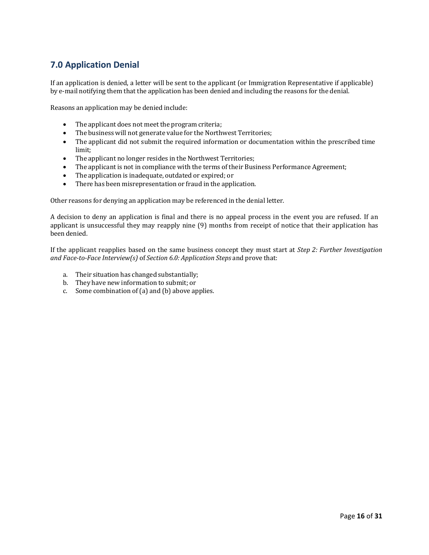# <span id="page-17-0"></span>**7.0 Application Denial**

If an application is denied, a letter will be sent to the applicant (or Immigration Representative if applicable) by e-mail notifying them that the application has been denied and including the reasons for the denial.

Reasons an application may be denied include:

- The applicant does not meet the program criteria;
- The business will not generate value for the Northwest Territories;
- The applicant did not submit the required information or documentation within the prescribed time limit;
- The applicant no longer resides in the Northwest Territories;
- The applicant is not in compliance with the terms of their Business Performance Agreement;
- The application is inadequate, outdated or expired; or<br>• There has been misrepresentation or fraud in the appli
- There has been misrepresentation or fraud in the application.

Other reasons for denying an application may be referenced in the denial letter.

A decision to deny an application is final and there is no appeal process in the event you are refused. If an applicant is unsuccessful they may reapply nine (9) months from receipt of notice that their application has been denied.

If the applicant reapplies based on the same business concept they must start at *Step 2: Further Investigation and Face-to-Face Interview(s)* of *Section 6.0: Application Steps* and prove that:

- a. Their situation has changed substantially;
- b. They have new information to submit; or
- c. Some combination of(a) and (b) above applies.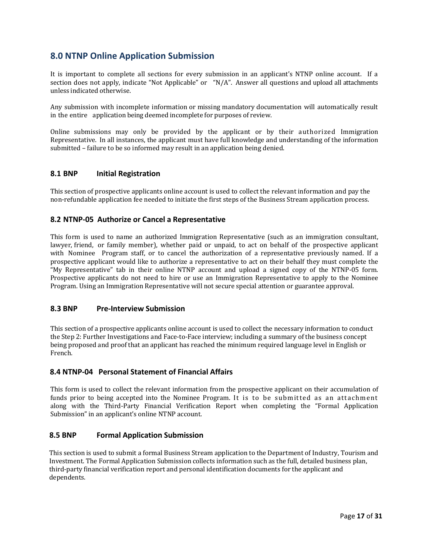# <span id="page-18-0"></span>**8.0 NTNP Online Application Submission**

It is important to complete all sections for every submission in an applicant's NTNP online account. If a section does not apply, indicate "Not Applicable" or "N/A". Answer all questions and upload all attachments unless indicated otherwise.

Any submission with incomplete information or missing mandatory documentation will automatically result in the entire application being deemed incomplete for purposes of review.

Online submissions may only be provided by the applicant or by their authorized Immigration Representative. In all instances, the applicant must have full knowledge and understanding of the information submitted – failure to be so informed may result in an application being denied.

### <span id="page-18-1"></span>**8.1 BNP Initial Registration**

This section of prospective applicants online account is used to collect the relevant information and pay the non-refundable application fee needed to initiate the first steps of the Business Stream application process.

### **8.2 NTNP-05 Authorize or Cancel a Representative**

This form is used to name an authorized Immigration Representative (such as an immigration consultant, lawyer, friend, or family member), whether paid or unpaid, to act on behalf of the prospective applicant with Nominee Program staff, or to cancel the authorization of a representative previously named. If a prospective applicant would like to authorize a representative to act on their behalf they must complete the "My Representative" tab in their online NTNP account and upload a signed copy of the NTNP-05 form. Prospective applicants do not need to hire or use an Immigration Representative to apply to the Nominee Program. Using an Immigration Representative will not secure special attention or guarantee approval.

#### <span id="page-18-2"></span>**8.3 BNP Pre-Interview Submission**

This section of a prospective applicants online account is used to collect the necessary information to conduct the Step 2: Further Investigations and Face-to-Face interview; including a summary of the business concept being proposed and proof that an applicant has reached the minimum required language level in English or French.

## <span id="page-18-3"></span> **8.4 NTNP-04 Personal Statement of Financial Affairs**

This form is used to collect the relevant information from the prospective applicant on their accumulation of funds prior to being accepted into the Nominee Program. It is to be submitted as an attachment along with the Third-Party Financial Verification Report when completing the "Formal Application Submission" in an applicant's online NTNP account.

### **8.5 BNP Formal Application Submission**

This section is used to submit a formal Business Stream application to the Department of Industry, Tourism and Investment. The Formal Application Submission collects information such as the full, detailed business plan, third-party financial verification report and personal identification documents for the applicant and dependents.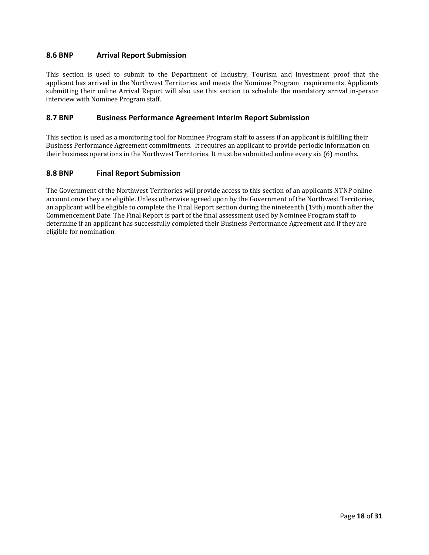### <span id="page-19-0"></span>**8.6 BNP Arrival Report Submission**

This section is used to submit to the Department of Industry, Tourism and Investment proof that the applicant has arrived in the Northwest Territories and meets the Nominee Program requirements. Applicants submitting their online Arrival Report will also use this section to schedule the mandatory arrival in-person interview with Nominee Program staff.

### **8.7 BNP Business Performance Agreement Interim Report Submission**

This section is used as a monitoring tool for Nominee Program staff to assess if an applicant is fulfilling their Business Performance Agreement commitments. It requires an applicant to provide periodic information on their business operations in the Northwest Territories. It must be submitted online every six (6) months.

### **8.8 BNP Final Report Submission**

The Government of the Northwest Territories will provide access to this section of an applicants NTNP online account once they are eligible. Unless otherwise agreed upon by the Government of the Northwest Territories, an applicant will be eligible to complete the Final Report section during the nineteenth (19th) month after the Commencement Date. The Final Report is part of the final assessment used by Nominee Program staff to determine if an applicant has successfully completed their Business Performance Agreement and if they are eligible for nomination.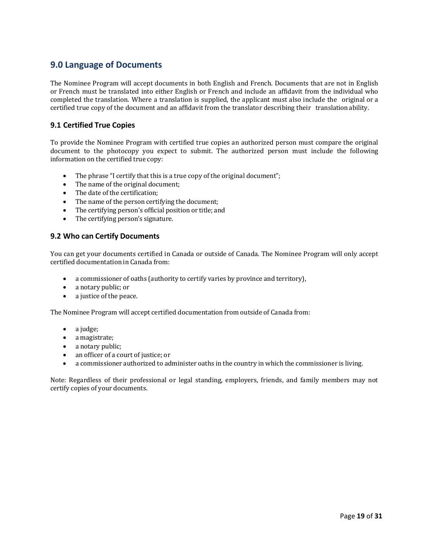# <span id="page-20-0"></span>**9.0 Language of Documents**

The Nominee Program will accept documents in both English and French. Documents that are not in English or French must be translated into either English or French and include an affidavit from the individual who completed the translation. Where a translation is supplied, the applicant must also include the original or a certified true copy of the document and an affidavit from the translator describing their translationability.

# <span id="page-20-1"></span>**9.1 Certified True Copies**

To provide the Nominee Program with certified true copies an authorized person must compare the original document to the photocopy you expect to submit. The authorized person must include the following information on the certified true copy:

- The phrase "I certify that this is a true copy of the original document";<br>
The name of the original document:
- The name of the original document;<br>• The date of the certification:
- The date of the certification;<br>• The name of the person certi
- The name of the person certifying the document;
- The certifying person's official position or title; and<br>• The certifying person's signature
- The certifying person's signature.

### <span id="page-20-2"></span>**9.2 Who can Certify Documents**

You can get your documents certified in Canada or outside of Canada. The Nominee Program will only accept certified documentation in Canada from:

- a commissioner of oaths (authority to certify varies by province and territory),
- a notary public; or
- a justice of the peace.

The Nominee Program will accept certified documentation from outside of Canada from:

- a judge;
- a magistrate;
- a notary public;
- an officer of a court of justice; or
- a commissioner authorized to administer oaths in the country in which the commissioner is living.

Note: Regardless of their professional or legal standing, employers, friends, and family members may not certify copies of your documents.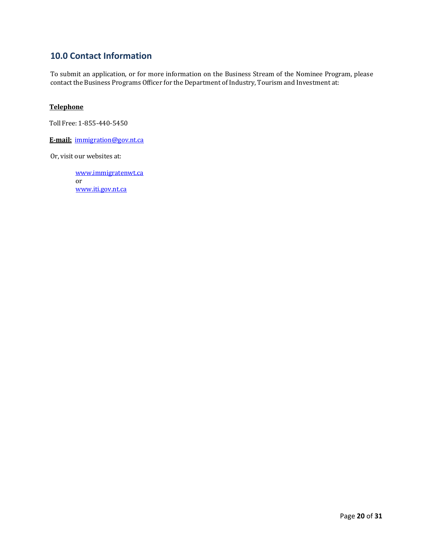# <span id="page-21-0"></span>**10.0 Contact Information**

To submit an application, or for more information on the Business Stream of the Nominee Program, please contact the Business Programs Officer for the Department of Industry, Tourism and Investment at:

### **Telephone**

Toll Free: 1-855-440-5450

**E-mail:** [immigration@gov.nt.ca](http://diims.pws.gov.nt.ca/yk32vapp06pdav/nodes/36496594/mailto%3Aimmigration%40gov.nt.ca)

Or, visit our websites at:

[www.immigratenwt.ca](http://www.immigratenwt.ca/) or [www.iti.gov.nt.ca](http://www.iti.gov.nt.ca/)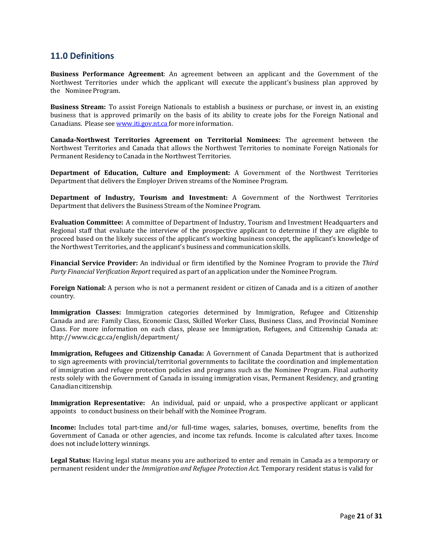# <span id="page-22-0"></span>**11.0 Definitions**

**Business Performance Agreement**: An agreement between an applicant and the Government of the Northwest Territories under which the applicant will execute the applicant's business plan approved by the Nominee Program.

**Business Stream:** To assist Foreign Nationals to establish a business or purchase, or invest in, an existing business that is approved primarily on the basis of its ability to create jobs for the Foreign National and Canadians. Please see [www.iti.gov.nt.ca](http://www.iti.gov.nt.ca/) for more information.

**Canada-Northwest Territories Agreement on Territorial Nominees:** The agreement between the Northwest Territories and Canada that allows the Northwest Territories to nominate Foreign Nationals for Permanent Residency to Canada in the Northwest Territories.

**Department of Education, Culture and Employment:** A Government of the Northwest Territories Department that delivers the Employer Driven streams of the Nominee Program.

**Department of Industry, Tourism and Investment:** A Government of the Northwest Territories Department that delivers the Business Stream of the Nominee Program.

**Evaluation Committee:** A committee of Department of Industry, Tourism and Investment Headquarters and Regional staff that evaluate the interview of the prospective applicant to determine if they are eligible to proceed based on the likely success of the applicant's working business concept, the applicant's knowledge of the Northwest Territories, and the applicant's business and communication skills.

**Financial Service Provider:** An individual or firm identified by the Nominee Program to provide the *Third Party Financial Verification Report* required as part of an application under the Nominee Program.

**Foreign National:** A person who is not a permanent resident or citizen of Canada and is a citizen of another country.

**Immigration Classes:** Immigration categories determined by Immigration, Refugee and Citizenship Canada and are: Family Class, Economic Class, Skilled Worker Class, Business Class, and Provincial Nominee Class. For more information on each class, please see Immigration, Refugees, and Citizenship Canada at[:](http://www.cic.gc.ca/english/department/) <http://www.cic.gc.ca/english/department/>

**Immigration, Refugees and Citizenship Canada:** A Government of Canada Department that is authorized to sign agreements with provincial/territorial governments to facilitate the coordination and implementation of immigration and refugee protection policies and programs such as the Nominee Program. Final authority rests solely with the Government of Canada in issuing immigration visas, Permanent Residency, and granting Canadian citizenship.

**Immigration Representative:** An individual, paid or unpaid, who a prospective applicant or applicant appoints to conduct business on their behalf with the Nominee Program.

**Income:** Includes total part-time and/or full-time wages, salaries, bonuses, overtime, benefits from the Government of Canada or other agencies, and income tax refunds. Income is calculated after taxes. Income does not include lottery winnings.

**Legal Status:** Having legal status means you are authorized to enter and remain in Canada as a temporary or permanent resident under the *Immigration and Refugee Protection Act*. Temporary resident status is valid for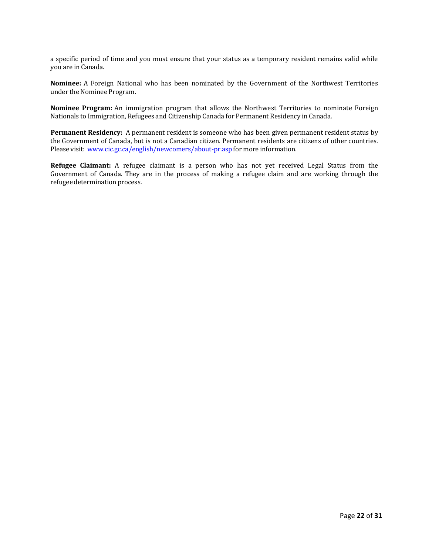a specific period of time and you must ensure that your status as a temporary resident remains valid while you are in Canada.

**Nominee:** A Foreign National who has been nominated by the Government of the Northwest Territories under the Nominee Program.

**Nominee Program:** An immigration program that allows the Northwest Territories to nominate Foreign Nationals to Immigration, Refugees and Citizenship Canada for Permanent Residency in Canada.

**Permanent Residency:** A permanent resident is someone who has been given permanent resident status by the [Government](http://www.cic.gc.ca/english/immigrate/index.asp) of Canada, but is not a [Canadian citizen.](http://www.cic.gc.ca/english/citizenship/index.asp) Permanent residents are citizens of other countries. Please visit: [www.cic.gc.ca/english/newcomers/about-pr.asp](http://www.cic.gc.ca/english/newcomers/about-pr.asp) for more information.

<span id="page-23-0"></span>**Refugee Claimant:** A refugee claimant is a person who has not yet received Legal Status from the Government of Canada. They are in the process of making a refugee claim and are working through the refugeedetermination process.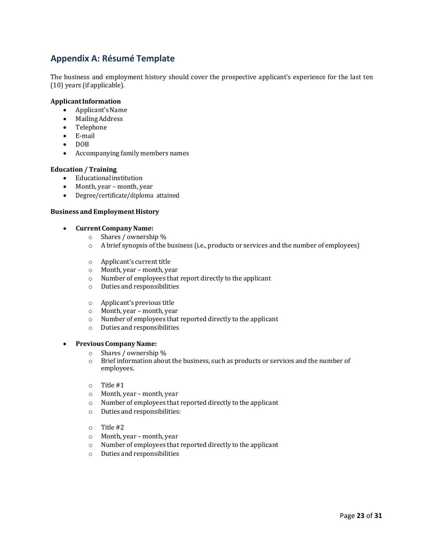# **Appendix A: Résumé Template**

The business and employment history should cover the prospective applicant's experience for the last ten (10) years (if applicable).

### **ApplicantInformation**

- Applicant's Name
- MailingAddress
- Telephone
- E-mail
- DOB<br>• Acco
- Accompanying family members names

### **Education / Training**

- Educational institution<br>• Month. year month. year
- Month, year month, year<br>• Degree/certificate/diploma
- Degree/certificate/diploma attained

#### **Business and Employment History**

- **Current CompanyName:**
	- o Shares / ownership %
	- o A brief synopsis of the business (i.e., products or services and the number of employees)
	- o Applicant's current title
	- Month, year month, year
	- o Number of employees that report directly to the applicant
	- o Duties and responsibilities
	- o Applicant's previous title
	- o Month, year month, year
	- o Number of employees that reported directly to the applicant
	- o Duties and responsibilities

#### • **Previous CompanyName:**

- o Shares / ownership %
- Brief information about the business, such as products or services and the number of employees.
- o Title #1
- 
- o Month, year month, year  $\circ$  Number of employees that reported directly to the applicant  $\circ$  Duties and responsibilities:
- Duties and responsibilities:
- o Title #2
- o Month, year month, year
- o Number of employees that reported directly to the applicant
- o Duties and responsibilities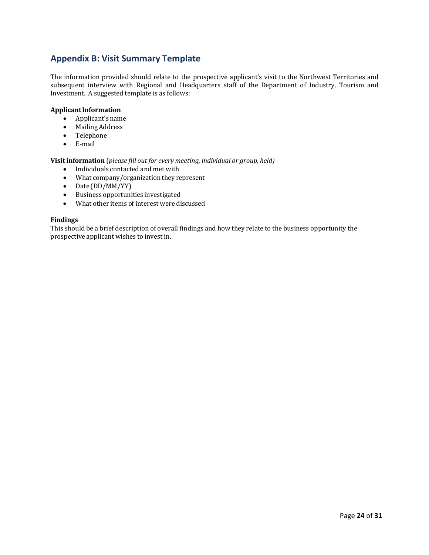# <span id="page-25-0"></span>**Appendix B: Visit Summary Template**

The information provided should relate to the prospective applicant's visit to the Northwest Territories and subsequent interview with Regional and Headquarters staff of the Department of Industry, Tourism and Investment. A suggested template is as follows:

### **ApplicantInformation**

- Applicant's name<br>• Mailing Address
- MailingAddress
- Telephone
- E-mail

**Visitinformation** (*please fill out for every meeting, individual or group, held)*

- Individuals contacted and met with
- What company/organization they represent
- Date (DD/MM/YY)
- Business opportunities investigated
- What other items of interest were discussed

#### **Findings**

<span id="page-25-1"></span>This should be a brief description of overall findings and how they relate to the business opportunity the prospective applicant wishes to invest in.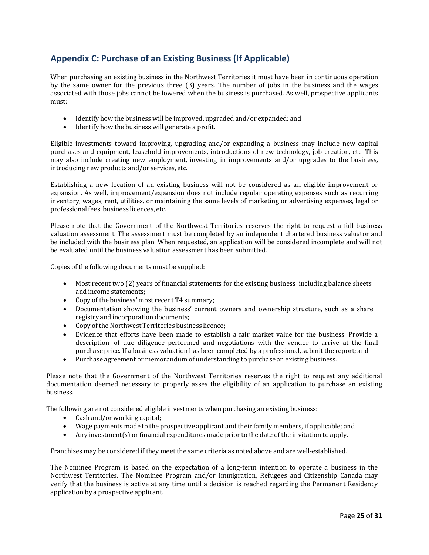# **Appendix C: Purchase of an Existing Business (If Applicable)**

When purchasing an existing business in the Northwest Territories it must have been in continuous operation by the same owner for the previous three (3) years. The number of jobs in the business and the wages associated with those jobs cannot be lowered when the business is purchased. As well, prospective applicants must:

- Identify how the business will be improved, upgraded and/or expanded; and<br>• Identify how the business will generate a profit.
- Identify how the business will generate a profit.

Eligible investments toward improving, upgrading and/or expanding a business may include new capital purchases and equipment, leasehold improvements, introductions of new technology, job creation, etc. This may also include creating new employment, investing in improvements and/or upgrades to the business, introducing new products and/or services, etc.

Establishing a new location of an existing business will not be considered as an eligible improvement or expansion. As well, improvement/expansion does not include regular operating expenses such as recurring inventory, wages, rent, utilities, or maintaining the same levels of marketing or advertising expenses, legal or professional fees, business licences, etc.

Please note that the Government of the Northwest Territories reserves the right to request a full business valuation assessment. The assessment must be completed by an independent chartered business valuator and be included with the business plan. When requested, an application will be considered incomplete and will not be evaluated until the business valuation assessment has been submitted.

Copies of the following documents must be supplied:

- Most recent two (2) years of financial statements for the existing business including balance sheets and income statements;
- Copy of the business' most recent T4 summary;
- Documentation showing the business' current owners and ownership structure, such as a share registry and incorporation documents;
- Copy of the Northwest Territories business licence;
- Evidence that efforts have been made to establish a fair market value for the business. Provide a description of due diligence performed and negotiations with the vendor to arrive at the final purchase price. If a business valuation has been completed by a professional, submit the report; and
- Purchase agreement or memorandum of understanding to purchase an existing business.

Please note that the Government of the Northwest Territories reserves the right to request any additional documentation deemed necessary to properly asses the eligibility of an application to purchase an existing business.

The following are not considered eligible investments when purchasing an existing business:

- Cash and/or working capital;
- Wage payments made to the prospective applicant and their family members, if applicable; and
- <span id="page-26-0"></span>• Any investment(s) or financial expenditures made prior to the date of the invitation to apply.

Franchises may be considered if they meet the same criteria as noted above and are well-established.

The Nominee Program is based on the expectation of a long-term intention to operate a business in the Northwest Territories. The Nominee Program and/or Immigration, Refugees and Citizenship Canada may verify that the business is active at any time until a decision is reached regarding the Permanent Residency application by a prospective applicant.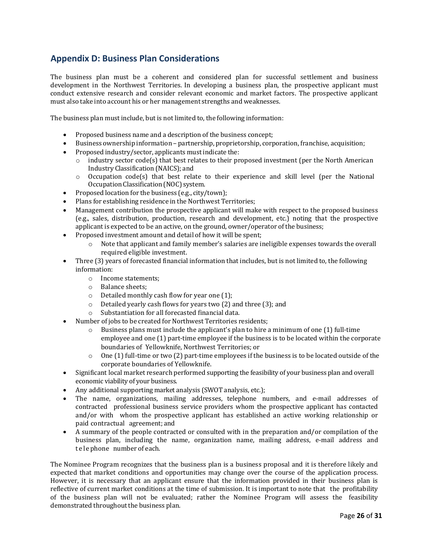# **Appendix D: Business Plan Considerations**

The business plan must be a coherent and considered plan for successful settlement and business development in the Northwest Territories. In developing a business plan, the prospective applicant must conduct extensive research and consider relevant economic and market factors. The prospective applicant must also take into account his or her management strengths and weaknesses.

The business plan must include, but is not limited to, the following information:

- Proposed business name and a description of the business concept;
- Business ownership information partnership, proprietorship, corporation, franchise, acquisition;<br>• Proposed industry/sector, applicants must indicate the:
- Proposed industry/sector, applicants must indicate the:<br>  $\circ$  industry sector code(s) that best relates to their pro
	- industry sector code(s) that best relates to their proposed investment (per the North American Industry Classification (NAICS); and
	- $\circ$  Occupation code(s) that best relate to their experience and skill level (per the National Occupation Classification (NOC) system.
- Proposed location for the business (e.g., city/town);
- Plans for establishing residence in the Northwest Territories;
- Management contribution the prospective applicant will make with respect to the proposed business (e.g., sales, distribution, production, research and development, etc.) noting that the prospective applicant is expected to be an active, on the ground, owner/operator of the business;
- Proposed investment amount and detail of how it will be spent;<br> $\circ$  Note that applicant and family member's salaries are in
	- Note that applicant and family member's salaries are ineligible expenses towards the overall required eligible investment.
- Three (3) years of forecasted financial information that includes, but is not limited to, the following information:
	- o Income statements;
	- o Balance sheets;
	-
	- $\circ$  Detailed monthly cash flow for year one (1);<br> $\circ$  Detailed yearly cash flows for years two (2) a Detailed yearly cash flows for years two  $(2)$  and three  $(3)$ ; and
	- o Substantiation for all forecasted financial data.
- Number of jobs to be created for Northwest Territories residents;
	- $\circ$  Business plans must include the applicant's plan to hire a minimum of one (1) full-time employee and one (1) part-time employee if the business is to be located within the corporate boundaries of Yellowknife, Northwest Territories; or
	- $\circ$  One (1) full-time or two (2) part-time employees if the business is to be located outside of the corporate boundaries of Yellowknife.
- Significant local market research performed supporting the feasibility of your business plan and overall economic viability of your business.
- Any additional supporting market analysis (SWOT analysis, etc.);
- The name, organizations, mailing addresses, telephone numbers, and e-mail addresses of contracted professional business service providers whom the prospective applicant has contacted and/or with whom the prospective applicant has established an active working relationship or paid contractual agreement; and
- A summary of the people contracted or consulted with in the preparation and/or compilation of the business plan, including the name, organization name, mailing address, e-mail address and telephone number of each.

The Nominee Program recognizes that the business plan is a business proposal and it is therefore likely and expected that market conditions and opportunities may change over the course of the application process. However, it is necessary that an applicant ensure that the information provided in their business plan is reflective of current market conditions at the time of submission. It is important to note that the profitability of the business plan will not be evaluated; rather the Nominee Program will assess the feasibility demonstrated throughout the business plan.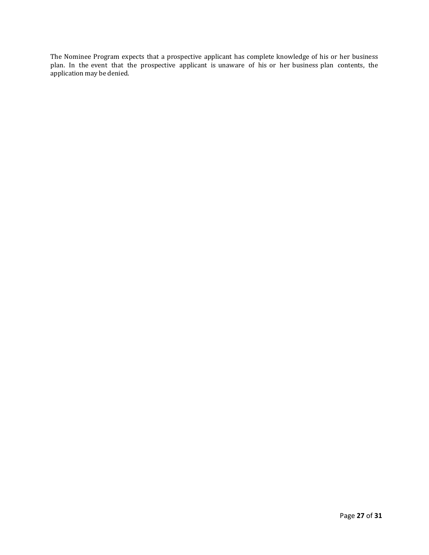<span id="page-28-0"></span>The Nominee Program expects that a prospective applicant has complete knowledge of his or her business plan. In the event that the prospective applicant is unaware of his or her business plan contents, the application may be denied.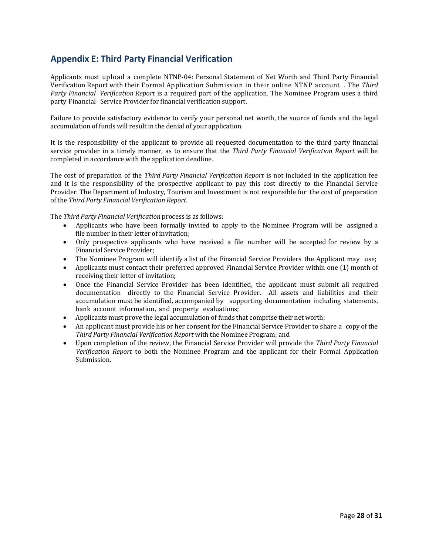# **Appendix E: Third Party Financial Verification**

Applicants must upload a complete NTNP-04: Personal Statement of Net Worth and Third Party Financial Verification Report with their Formal Application Submission in their online NTNP account. . The *Third Party Financial Verification Report* is a required part of the application. The Nominee Program uses a third party Financial Service Provider for financial verification support.

Failure to provide satisfactory evidence to verify your personal net worth, the source of funds and the legal accumulation of funds will result in the denial of your application.

It is the responsibility of the applicant to provide all requested documentation to the third party financial service provider in a timely manner, as to ensure that the *Third Party Financial Verification Report* will be completed in accordance with the application deadline.

The cost of preparation of the *Third Party Financial Verification Report* is not included in the application fee and it is the responsibility of the prospective applicant to pay this cost directly to the Financial Service Provider. The Department of Industry, Tourism and Investment is not responsible for the cost of preparation of the *Third Party Financial Verification Report*.

The *Third Party Financial Verification* process is as follows:

- Applicants who have been formally invited to apply to the Nominee Program will be assigned a file number in their letter of invitation;
- Only prospective applicants who have received a file number will be accepted for review by a Financial Service Provider;
- The Nominee Program will identify a list of the Financial Service Providers the Applicant may use;
- Applicants must contact their preferred approved Financial Service Provider within one (1) month of receiving their letter of invitation;
- Once the Financial Service Provider has been identified, the applicant must submit all required documentation directly to the Financial Service Provider. All assets and liabilities and their accumulation must be identified, accompanied by supporting documentation including statements, bank account information, and property evaluations;
- Applicants must prove the legal accumulation of funds that comprise their net worth;
- An applicant must provide his or her consent for the Financial Service Provider to share a copy of the *Third Party Financial Verification Report* with the Nominee Program; and
- Upon completion of the review, the Financial Service Provider will provide the *Third Party Financial Verification Report* to both the Nominee Program and the applicant for their Formal Application Submission.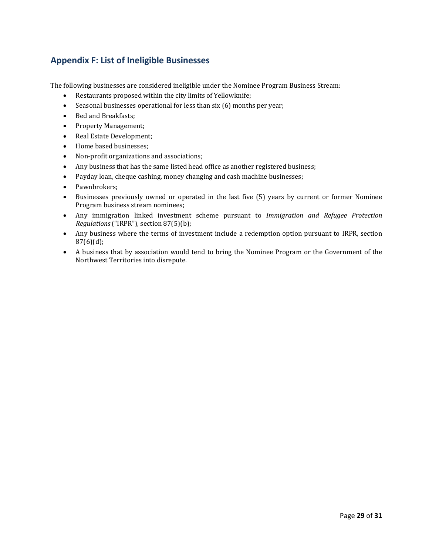# <span id="page-30-0"></span>**Appendix F: List of Ineligible Businesses**

The following businesses are considered ineligible under the Nominee Program Business Stream:

- Restaurants proposed within the city limits of Yellowknife;
- Seasonal businesses operational for less than six (6) months per year;
- Bed and Breakfasts;
- Property Management;
- Real Estate Development;
- Home based businesses;
- Non-profit organizations and associations;
- Any business that has the same listed head office as another registered business;
- Payday loan, cheque cashing, money changing and cash machine businesses;
- Pawnbrokers;
- Businesses previously owned or operated in the last five (5) years by current or former Nominee Program business stream nominees;
- Any immigration linked investment scheme pursuant to *Immigration and Refugee Protection Regulations* ("IRPR"), section 87(5)(b);
- Any business where the terms of investment include a redemption option pursuant to IRPR, section 87(6)(d);
- A business that by association would tend to bring the Nominee Program or the Government of the Northwest Territories into disrepute.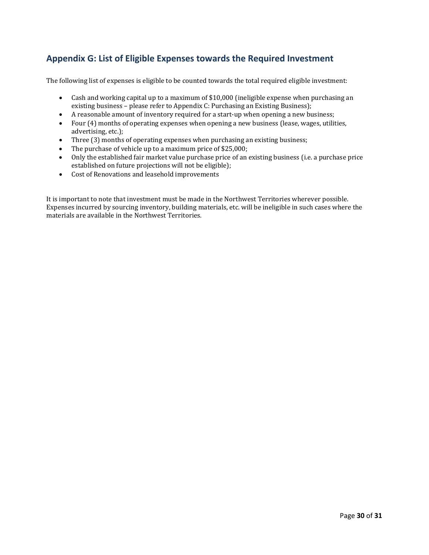# **Appendix G: List of Eligible Expenses towards the Required Investment**

The following list of expenses is eligible to be counted towards the total required eligible investment:

- Cash and working capital up to a maximum of \$10,000 (ineligible expense when purchasing an existing business – please refer to Appendix C: Purchasing an Existing Business);
- A reasonable amount of inventory required for a start-up when opening a new business;
- Four (4) months of operating expenses when opening a new business (lease, wages, utilities, advertising, etc.);
- Three (3) months of operating expenses when purchasing an existing business;
- The purchase of vehicle up to a maximum price of \$25,000;<br>• Only the established fair market value purchase price of an
- Only the established fair market value purchase price of an existing business (i.e. a purchase price established on future projections will not be eligible);
- Cost of Renovations and leasehold improvements

It is important to note that investment must be made in the Northwest Territories wherever possible. Expenses incurred by sourcing inventory, building materials, etc. will be ineligible in such cases where the materials are available in the Northwest Territories.